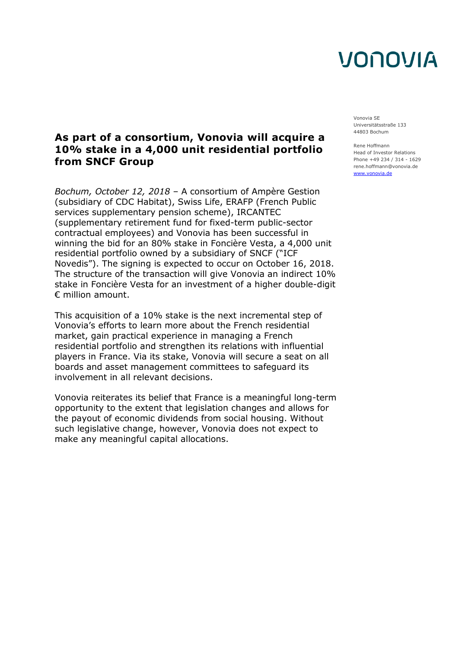# VONOVIA

Vonovia SE Universitätsstraße 133 44803 Bochum

Rene Hoffmann Head of Investor Relations Phone +49 234 / 314 - 1629 rene.hoffmann@vonovia.de [www.vonovia.de](http://www.vonovia.de/)

### **As part of a consortium, Vonovia will acquire a 10% stake in a 4,000 unit residential portfolio from SNCF Group**

*Bochum, October 12, 2018* – A consortium of Ampère Gestion (subsidiary of CDC Habitat), Swiss Life, ERAFP (French Public services supplementary pension scheme), IRCANTEC (supplementary retirement fund for fixed-term public-sector contractual employees) and Vonovia has been successful in winning the bid for an 80% stake in Foncière Vesta, a 4,000 unit residential portfolio owned by a subsidiary of SNCF ("ICF Novedis"). The signing is expected to occur on October 16, 2018. The structure of the transaction will give Vonovia an indirect 10% stake in Foncière Vesta for an investment of a higher double-digit € million amount.

This acquisition of a 10% stake is the next incremental step of Vonovia's efforts to learn more about the French residential market, gain practical experience in managing a French residential portfolio and strengthen its relations with influential players in France. Via its stake, Vonovia will secure a seat on all boards and asset management committees to safeguard its involvement in all relevant decisions.

Vonovia reiterates its belief that France is a meaningful long-term opportunity to the extent that legislation changes and allows for the payout of economic dividends from social housing. Without such legislative change, however, Vonovia does not expect to make any meaningful capital allocations.